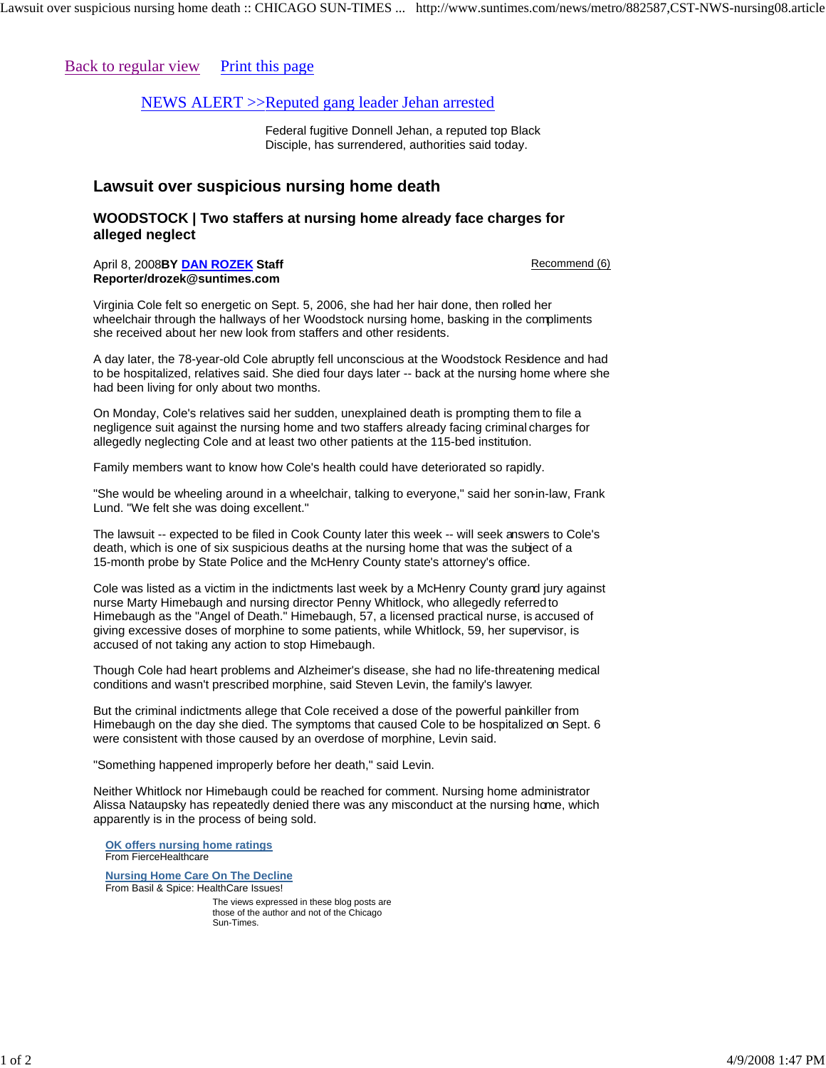## Back to regular view Print this page

## NEWS ALERT >>Reputed gang leader Jehan arrested

Federal fugitive Donnell Jehan, a reputed top Black Disciple, has surrendered, authorities said today.

## **Lawsuit over suspicious nursing home death**

## **WOODSTOCK | Two staffers at nursing home already face charges for alleged neglect**

April 8, 2008 Recommend (6) **BY DAN ROZEK Staff Reporter/drozek@suntimes.com** 

Virginia Cole felt so energetic on Sept. 5, 2006, she had her hair done, then rolled her wheelchair through the hallways of her Woodstock nursing home, basking in the compliments she received about her new look from staffers and other residents.

A day later, the 78-year-old Cole abruptly fell unconscious at the Woodstock Residence and had to be hospitalized, relatives said. She died four days later -- back at the nursing home where she had been living for only about two months.

On Monday, Cole's relatives said her sudden, unexplained death is prompting them to file a negligence suit against the nursing home and two staffers already facing criminal charges for allegedly neglecting Cole and at least two other patients at the 115-bed institution.

Family members want to know how Cole's health could have deteriorated so rapidly.

"She would be wheeling around in a wheelchair, talking to everyone," said her son-in-law, Frank Lund. "We felt she was doing excellent."

The lawsuit -- expected to be filed in Cook County later this week -- will seek answers to Cole's death, which is one of six suspicious deaths at the nursing home that was the subject of a 15-month probe by State Police and the McHenry County state's attorney's office.

Cole was listed as a victim in the indictments last week by a McHenry County grand jury against nurse Marty Himebaugh and nursing director Penny Whitlock, who allegedly referred to Himebaugh as the "Angel of Death." Himebaugh, 57, a licensed practical nurse, is accused of giving excessive doses of morphine to some patients, while Whitlock, 59, her supervisor, is accused of not taking any action to stop Himebaugh.

Though Cole had heart problems and Alzheimer's disease, she had no life-threatening medical conditions and wasn't prescribed morphine, said Steven Levin, the family's lawyer.

But the criminal indictments allege that Cole received a dose of the powerful painkiller from Himebaugh on the day she died. The symptoms that caused Cole to be hospitalized on Sept. 6 were consistent with those caused by an overdose of morphine, Levin said.

"Something happened improperly before her death," said Levin.

Neither Whitlock nor Himebaugh could be reached for comment. Nursing home administrator Alissa Nataupsky has repeatedly denied there was any misconduct at the nursing home, which apparently is in the process of being sold.

**OK offers nursing home ratings** From FierceHealthcare

**Nursing Home Care On The Decline** From Basil & Spice: HealthCare Issues!

> The views expressed in these blog posts are those of the author and not of the Chicago Sun-Times.